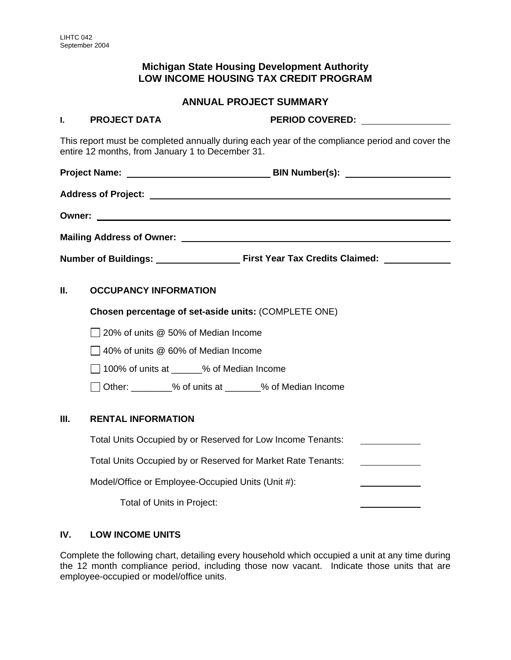# **Michigan State Housing Development Authority LOW INCOME HOUSING TAX CREDIT PROGRAM**

## **ANNUAL PROJECT SUMMARY**

#### **I. PROJECT DATA PERIOD COVERED:**

This report must be completed annually during each year of the compliance period and cover the entire 12 months, from January 1 to December 31.

**Project Name: BIN Number(s): Address of Project: Owner:** 

**Mailing Address of Owner:** 

**Number of Buildings: First Year Tax Credits Claimed:** 

## **II. OCCUPANCY INFORMATION**

**Chosen percentage of set-aside units:** (COMPLETE ONE)

20% of units @ 50% of Median Income

 $\Box$  40% of units @ 60% of Median Income

 $\Box$  100% of units at  $\Box$  % of Median Income

Other: \_\_\_\_\_\_\_\_% of units at \_\_\_\_\_\_\_% of Median Income

#### **III. RENTAL INFORMATION**

| Total Units Occupied by or Reserved for Low Income Tenants:  |  |
|--------------------------------------------------------------|--|
| Total Units Occupied by or Reserved for Market Rate Tenants: |  |
| Model/Office or Employee-Occupied Units (Unit #):            |  |
| Total of Units in Project:                                   |  |

## **IV. LOW INCOME UNITS**

Complete the following chart, detailing every household which occupied a unit at any time during the 12 month compliance period, including those now vacant. Indicate those units that are employee-occupied or model/office units.